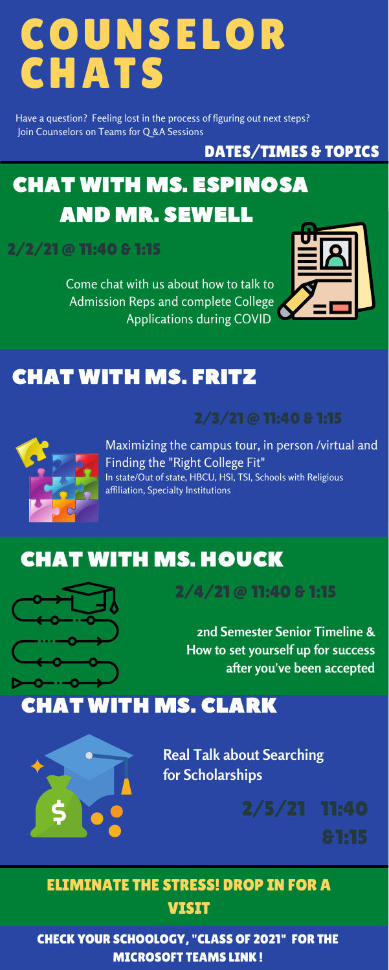## COUNSELOR CHATS

Maximizing the campus tour, in person /virtual and Finding the "Right College Fit" In state/Out of state, HBCU, HSI, TSI, Schools with Religious affiliation, Specialty Institutions

Come chat with us about how to talk to Admission Reps and complete College Applications during COVID



## CHAT WITH MS. ESPINOSA AND MR. SEWELL

### CHAT WITH MS. FRITZ

#### ELIMINATE THE STRESS! DROP IN FOR A **VISIT**



### CHAT WITH MS. HOUCK

#### 2/2/21 @ 11:40 & 1:15

**2nd Semester Senior Timeline & How to set yourself up for success after you've been accepted**

**Real Talk about Searching for Scholarships**

Have a question? Feeling lost in the process of figuring out next steps? Join Counselors on Teams for Q &A Sessions

#### DATES/TIMES & TOPICS

2/3/21 @ 11:40 & 1:15



## CHAT WITH MS. CLARK



#### CHECK YOUR SCHOOLOGY, "CLASS OF 2021" FOR THE MICROSOFT TEAMS LINK !